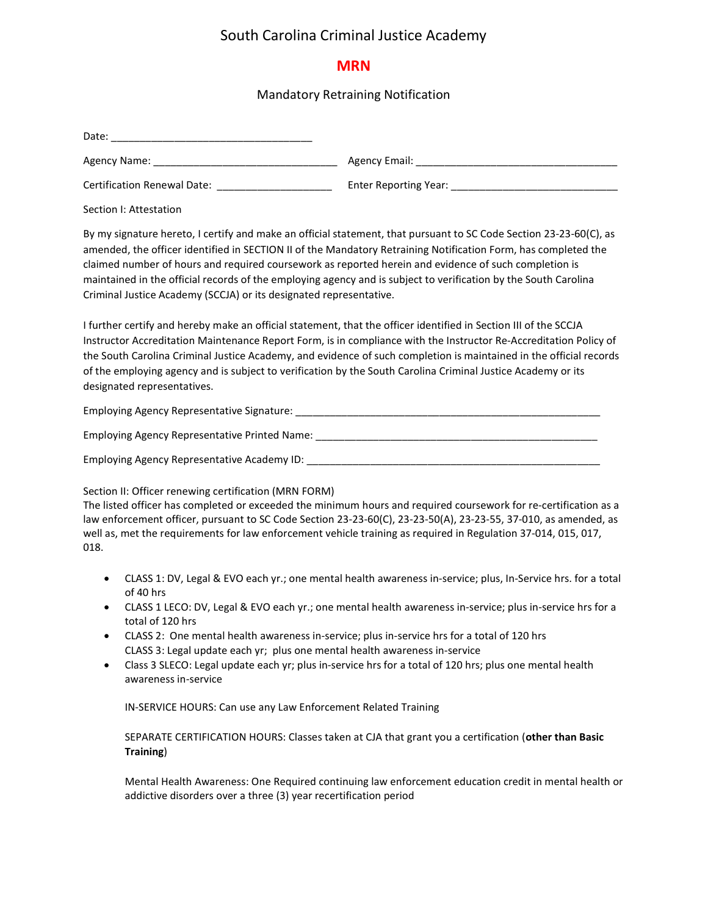# South Carolina Criminal Justice Academy

## MRN

### Mandatory Retraining Notification

| Date:                       |                                                                                                                                                                                                                               |
|-----------------------------|-------------------------------------------------------------------------------------------------------------------------------------------------------------------------------------------------------------------------------|
| Agency Name:                | Agency Email: The Contract of the Contract of the Contract of the Contract of the Contract of the Contract of the Contract of the Contract of the Contract of the Contract of the Contract of the Contract of the Contract of |
| Certification Renewal Date: | <b>Enter Reporting Year:</b>                                                                                                                                                                                                  |
| .                           |                                                                                                                                                                                                                               |

Section I: Attestation

By my signature hereto, I certify and make an official statement, that pursuant to SC Code Section 23-23-60(C), as amended, the officer identified in SECTION II of the Mandatory Retraining Notification Form, has completed the claimed number of hours and required coursework as reported herein and evidence of such completion is maintained in the official records of the employing agency and is subject to verification by the South Carolina Criminal Justice Academy (SCCJA) or its designated representative.

I further certify and hereby make an official statement, that the officer identified in Section III of the SCCJA Instructor Accreditation Maintenance Report Form, is in compliance with the Instructor Re-Accreditation Policy of the South Carolina Criminal Justice Academy, and evidence of such completion is maintained in the official records of the employing agency and is subject to verification by the South Carolina Criminal Justice Academy or its designated representatives.

| Employing Agency Representative Signature:           |  |
|------------------------------------------------------|--|
| <b>Employing Agency Representative Printed Name:</b> |  |
| Employing Agency Representative Academy ID:          |  |

Section II: Officer renewing certification (MRN FORM)

The listed officer has completed or exceeded the minimum hours and required coursework for re-certification as a law enforcement officer, pursuant to SC Code Section 23-23-60(C), 23-23-50(A), 23-23-55, 37-010, as amended, as well as, met the requirements for law enforcement vehicle training as required in Regulation 37-014, 015, 017, 018.

- CLASS 1: DV, Legal & EVO each yr.; one mental health awareness in-service; plus, In-Service hrs. for a total of 40 hrs
- CLASS 1 LECO: DV, Legal & EVO each yr.; one mental health awareness in-service; plus in-service hrs for a total of 120 hrs
- CLASS 2: One mental health awareness in-service; plus in-service hrs for a total of 120 hrs CLASS 3: Legal update each yr; plus one mental health awareness in-service
- Class 3 SLECO: Legal update each yr; plus in-service hrs for a total of 120 hrs; plus one mental health awareness in-service

IN-SERVICE HOURS: Can use any Law Enforcement Related Training

SEPARATE CERTIFICATION HOURS: Classes taken at CJA that grant you a certification (other than Basic Training)

Mental Health Awareness: One Required continuing law enforcement education credit in mental health or addictive disorders over a three (3) year recertification period